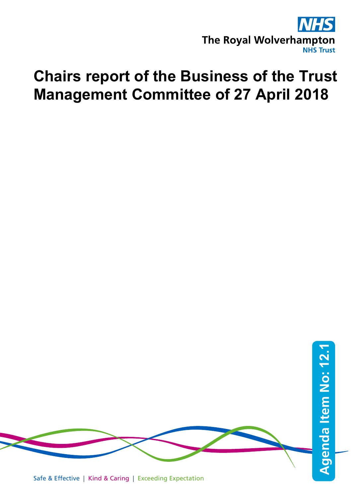

# **Chairs report of the Business of the Trust Management Committee of 27 April 2018**

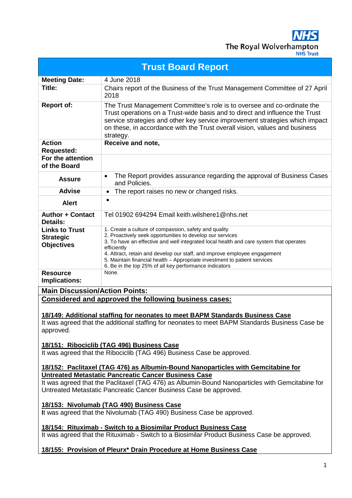$\overline{\mathbf{S}}$ IN The Royal Wolverhampton

| <b>Trust Board Report</b>                                                                                                                                            |                                                                                                                                                                                                                                                                                                                                    |  |
|----------------------------------------------------------------------------------------------------------------------------------------------------------------------|------------------------------------------------------------------------------------------------------------------------------------------------------------------------------------------------------------------------------------------------------------------------------------------------------------------------------------|--|
| <b>Meeting Date:</b>                                                                                                                                                 | 4 June 2018                                                                                                                                                                                                                                                                                                                        |  |
| Title:                                                                                                                                                               | Chairs report of the Business of the Trust Management Committee of 27 April<br>2018                                                                                                                                                                                                                                                |  |
| <b>Report of:</b>                                                                                                                                                    | The Trust Management Committee's role is to oversee and co-ordinate the<br>Trust operations on a Trust-wide basis and to direct and influence the Trust<br>service strategies and other key service improvement strategies which impact<br>on these, in accordance with the Trust overall vision, values and business<br>strategy. |  |
| <b>Action</b><br><b>Requested:</b>                                                                                                                                   | Receive and note,                                                                                                                                                                                                                                                                                                                  |  |
| For the attention<br>of the Board                                                                                                                                    |                                                                                                                                                                                                                                                                                                                                    |  |
| <b>Assure</b>                                                                                                                                                        | The Report provides assurance regarding the approval of Business Cases<br>$\bullet$<br>and Policies.                                                                                                                                                                                                                               |  |
| <b>Advise</b>                                                                                                                                                        | The report raises no new or changed risks.<br>$\bullet$                                                                                                                                                                                                                                                                            |  |
| <b>Alert</b>                                                                                                                                                         | $\bullet$                                                                                                                                                                                                                                                                                                                          |  |
| <b>Author + Contact</b><br><b>Details:</b>                                                                                                                           | Tel 01902 694294 Email keith.wilshere1@nhs.net                                                                                                                                                                                                                                                                                     |  |
| <b>Links to Trust</b>                                                                                                                                                | 1. Create a culture of compassion, safety and quality                                                                                                                                                                                                                                                                              |  |
| <b>Strategic</b><br><b>Objectives</b>                                                                                                                                | 2. Proactively seek opportunities to develop our services<br>3. To have an effective and well integrated local health and care system that operates                                                                                                                                                                                |  |
|                                                                                                                                                                      | efficiently<br>4. Attract, retain and develop our staff, and improve employee engagement                                                                                                                                                                                                                                           |  |
|                                                                                                                                                                      | 5. Maintain financial health - Appropriate investment to patient services<br>6. Be in the top 25% of all key performance indicators                                                                                                                                                                                                |  |
| <b>Resource</b><br>Implications:                                                                                                                                     | None.                                                                                                                                                                                                                                                                                                                              |  |
| <b>Main Discussion/Action Points:</b>                                                                                                                                |                                                                                                                                                                                                                                                                                                                                    |  |
| Considered and approved the following business cases:                                                                                                                |                                                                                                                                                                                                                                                                                                                                    |  |
|                                                                                                                                                                      |                                                                                                                                                                                                                                                                                                                                    |  |
| <u>18/149: Additional staffing for neonates to meet BAPM Standards Business Case</u>                                                                                 |                                                                                                                                                                                                                                                                                                                                    |  |
| It was agreed that the additional staffing for neonates to meet BAPM Standards Business Case be<br>approved.                                                         |                                                                                                                                                                                                                                                                                                                                    |  |
| 18/151: Ribociclib (TAG 496) Business Case                                                                                                                           |                                                                                                                                                                                                                                                                                                                                    |  |
| It was agreed that the Ribociclib (TAG 496) Business Case be approved.                                                                                               |                                                                                                                                                                                                                                                                                                                                    |  |
| 18/152: Paclitaxel (TAG 476) as Albumin-Bound Nanoparticles with Gemcitabine for                                                                                     |                                                                                                                                                                                                                                                                                                                                    |  |
| <b>Untreated Metastatic Pancreatic Cancer Business Case</b>                                                                                                          |                                                                                                                                                                                                                                                                                                                                    |  |
| It was agreed that the Paclitaxel (TAG 476) as Albumin-Bound Nanoparticles with Gemcitabine for<br>Untreated Metastatic Pancreatic Cancer Business Case be approved. |                                                                                                                                                                                                                                                                                                                                    |  |
| 18/153: Nivolumab (TAG 490) Business Case<br>It was agreed that the Nivolumab (TAG 490) Business Case be approved.                                                   |                                                                                                                                                                                                                                                                                                                                    |  |
| 18/154: Rituximab - Switch to a Biosimilar Product Business Case                                                                                                     |                                                                                                                                                                                                                                                                                                                                    |  |
| It was agreed that the Rituximab - Switch to a Biosimilar Product Business Case be approved.                                                                         |                                                                                                                                                                                                                                                                                                                                    |  |
| 18/155: Provision of Pleurx* Drain Procedure at Home Business Case                                                                                                   |                                                                                                                                                                                                                                                                                                                                    |  |
|                                                                                                                                                                      | 1                                                                                                                                                                                                                                                                                                                                  |  |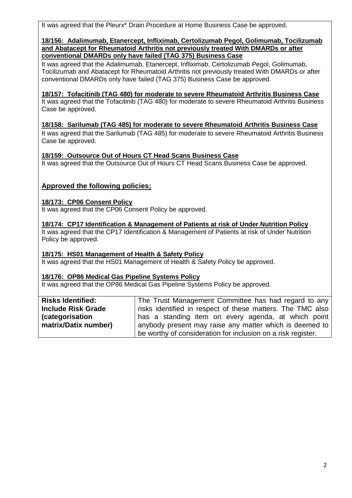It was agreed that the Pleurx\* Drain Procedure at Home Business Case be approved.

#### **18/156: Adalimumab, Etanercept, Infliximab, Certolizumab Pegol, Golimumab, Tocilizumab and Abatacept for Rheumatoid Arthritis not previously treated With DMARDs or after conventional DMARDs only have failed (TAG 375) Business Case**

It was agreed that the Adalimumab, Etanercept, Infliximab, Certolizumab Pegol, Golimumab, Tocilizumab and Abatacept for Rheumatoid Arthritis not previously treated With DMARDs or after conventional DMARDs only have failed (TAG 375) Business Case be approved.

# **18/157: Tofacitinib (TAG 480) for moderate to severe Rheumatoid Arthritis Business Case**

It was agreed that the Tofacitinib (TAG 480) for moderate to severe Rheumatoid Arthritis Business Case be approved.

# **18/158: Sarilumab (TAG 485) for moderate to severe Rheumatoid Arthritis Business Case**

It was agreed that the Sarilumab (TAG 485) for moderate to severe Rheumatoid Arthritis Business Case be approved.

# **18/159: Outsource Out of Hours CT Head Scans Business Case**

It was agreed that the Outsource Out of Hours CT Head Scans Business Case be approved.

# **Approved the following policies;**

# **18/173: CP06 Consent Policy**

It was agreed that the CP06 Consent Policy be approved.

**18/174: CP17 Identification & Management of Patients at risk of Under Nutrition Policy** It was agreed that the CP17 Identification & Management of Patients at risk of Under Nutrition Policy be approved.

# **18/175: HS01 Management of Health & Safety Policy**

It was agreed that the HS01 Management of Health & Safety Policy be approved.

## **18/176: OP86 Medical Gas Pipeline Systems Policy**

It was agreed that the OP86 Medical Gas Pipeline Systems Policy be approved.

| <b>Risks Identified:</b>  | The Trust Management Committee has had regard to any         |
|---------------------------|--------------------------------------------------------------|
| <b>Include Risk Grade</b> | risks identified in respect of these matters. The TMC also   |
| <i>(categorisation</i> )  | has a standing item on every agenda, at which point          |
| matrix/Datix number)      | anybody present may raise any matter which is deemed to      |
|                           | be worthy of consideration for inclusion on a risk register. |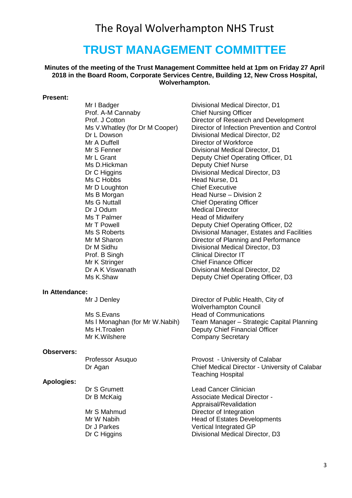# The Royal Wolverhampton NHS Trust

# **TRUST MANAGEMENT COMMITTEE**

#### **Minutes of the meeting of the Trust Management Committee held at 1pm on Friday 27 April 2018 in the Board Room, Corporate Services Centre, Building 12, New Cross Hospital, Wolverhampton.**

#### **Present:**

Prof. A-M Cannaby Chief Nursing Officer Mr A Duffell **Director of Workforce**<br>Mr S Fenner **Director Director** Divisional Medical Director Ms D.Hickman Deputy Chief Nurse Ms C Hobbs Head Nurse, D1 Mr D Loughton Chief Executive Ms B Morgan **Head Nurse** – Division 2 Ms G Nuttall **Manufall Chief Operating Officer**<br>
Dr J Odum Medical Director Dr J Odum Medical Director<br>
Ms T Palmer Ms T Head of Midwifer Dr M Sidhu Divisional Medical Director, D3 Prof. B Singh Clinical Director IT<br>
Mr K Stringer Chief Finance Office Mr K Stringer Chief Finance Officer<br>
Dr A K Viswanath Chief Finance Officer<br>
Divisional Medical Director

#### **In Attendance:**

Ms S.Evans Head of Communications<br>Ms I Monaghan (for Mr W.Nabih) Team Manager – Strategi Ms H.Troalen **Deputy Chief Financial Officer** Mr K. Wilshere **Company Secretary** 

#### **Observers:**

#### **Apologies:**

Mr I Badger **Divisional Medical Director**, D1 Prof. J Cotton Director of Research and Development Ms V.Whatley (for Dr M Cooper) Director of Infection Prevention and Control Dr L Dowson Divisional Medical Director, D2<br>Mr A Duffell Director of Workforce Divisional Medical Director, D1 Mr L Grant **Deputy Chief Operating Officer, D1** Dr C Higgins **Divisional Medical Director**, D3 Head of Midwifery Mr T Powell **Deputy Chief Operating Officer, D2** Ms S Roberts **Divisional Manager, Estates and Facilities** Mr M Sharon **Director of Planning and Performance** Divisional Medical Director, D2 Ms K.Shaw Deputy Chief Operating Officer, D3

Mr J Denley Director of Public Health, City of Wolverhampton Council Team Manager – Strategic Capital Planning

Professor Asuquo Provost - University of Calabar Dr Agan Chief Medical Director - University of Calabar Teaching Hospital

Dr S Grumett Lead Cancer Clinician Dr B McKaig **Associate Medical Director -** Associate Medical Director -Appraisal/Revalidation Mr S Mahmud Director of Integration Mr W Nabih **Head of Estates Developments** Dr J Parkes Vertical Integrated GP<br>Dr C Higgins Care Divisional Medical Dire Divisional Medical Director, D3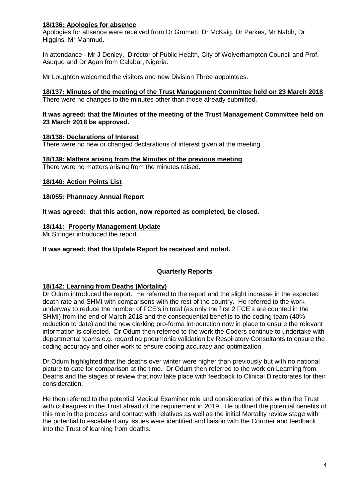# **18/136: Apologies for absence**

Apologies for absence were received from Dr Grumett, Dr McKaig, Dr Parkes, Mr Nabih, Dr Higgins, Mr Mahmud.

In attendance - Mr J Denley, Director of Public Health, City of Wolverhampton Council and Prof. Asuquo and Dr Agan from Calabar, Nigeria.

Mr Loughton welcomed the visitors and new Division Three appointees.

#### **18/137: Minutes of the meeting of the Trust Management Committee held on 23 March 2018** There were no changes to the minutes other than those already submitted.

#### **It was agreed: that the Minutes of the meeting of the Trust Management Committee held on 23 March 2018 be approved.**

## **18/138: Declarations of Interest**

There were no new or changed declarations of interest given at the meeting.

#### **18/139: Matters arising from the Minutes of the previous meeting**

There were no matters arising from the minutes raised.

#### **18/140: Action Points List**

#### **18/055: Pharmacy Annual Report**

**It was agreed: that this action, now reported as completed, be closed.**

#### **18/141: Property Management Update**

Mr Stringer introduced the report.

#### **It was agreed: that the Update Report be received and noted.**

## **Quarterly Reports**

#### **18/142: Learning from Deaths (Mortality)**

Dr Odum introduced the report. He referred to the report and the slight increase in the expected death rate and SHMI with comparisons with the rest of the country. He referred to the work underway to reduce the number of FCE's in total (as only the first 2 FCE's are counted in the SHMI) from the end of March 2018 and the consequential benefits to the coding team (40% reduction to date) and the new clerking pro-forma introduction now in place to ensure the relevant information is collected. Dr Odum then referred to the work the Coders continue to undertake with departmental teams e.g. regarding pneumonia validation by Respiratory Consultants to ensure the coding accuracy and other work to ensure coding accuracy and optimization.

Dr Odum highlighted that the deaths over winter were higher than previously but with no national picture to date for comparison at the time. Dr Odum then referred to the work on Learning from Deaths and the stages of review that now take place with feedback to Clinical Directorates for their consideration.

He then referred to the potential Medical Examiner role and consideration of this within the Trust with colleagues in the Trust ahead of the requirement in 2019. He outlined the potential benefits of this role in the process and contact with relatives as well as the initial Mortality review stage with the potential to escalate if any issues were identified and liaison with the Coroner and feedback into the Trust of learning from deaths.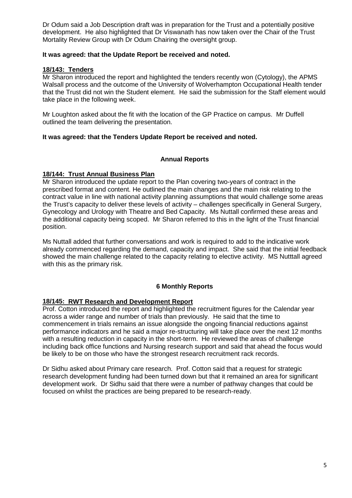Dr Odum said a Job Description draft was in preparation for the Trust and a potentially positive development. He also highlighted that Dr Viswanath has now taken over the Chair of the Trust Mortality Review Group with Dr Odum Chairing the oversight group.

## **It was agreed: that the Update Report be received and noted.**

# **18/143: Tenders**

Mr Sharon introduced the report and highlighted the tenders recently won (Cytology), the APMS Walsall process and the outcome of the University of Wolverhampton Occupational Health tender that the Trust did not win the Student element. He said the submission for the Staff element would take place in the following week.

Mr Loughton asked about the fit with the location of the GP Practice on campus. Mr Duffell outlined the team delivering the presentation.

# **It was agreed: that the Tenders Update Report be received and noted.**

## **Annual Reports**

## **18/144: Trust Annual Business Plan**

Mr Sharon introduced the update report to the Plan covering two-years of contract in the prescribed format and content. He outlined the main changes and the main risk relating to the contract value in line with national activity planning assumptions that would challenge some areas the Trust's capacity to deliver these levels of activity – challenges specifically in General Surgery, Gynecology and Urology with Theatre and Bed Capacity. Ms Nuttall confirmed these areas and the additional capacity being scoped. Mr Sharon referred to this in the light of the Trust financial position.

Ms Nuttall added that further conversations and work is required to add to the indicative work already commenced regarding the demand, capacity and impact. She said that the initial feedback showed the main challenge related to the capacity relating to elective activity. MS Nutttall agreed with this as the primary risk.

## **6 Monthly Reports**

# **18/145: RWT Research and Development Report**

Prof. Cotton introduced the report and highlighted the recruitment figures for the Calendar year across a wider range and number of trials than previously. He said that the time to commencement in trials remains an issue alongside the ongoing financial reductions against performance indicators and he said a major re-structuring will take place over the next 12 months with a resulting reduction in capacity in the short-term. He reviewed the areas of challenge including back office functions and Nursing research support and said that ahead the focus would be likely to be on those who have the strongest research recruitment rack records.

Dr Sidhu asked about Primary care research. Prof. Cotton said that a request for strategic research development funding had been turned down but that it remained an area for significant development work. Dr Sidhu said that there were a number of pathway changes that could be focused on whilst the practices are being prepared to be research-ready.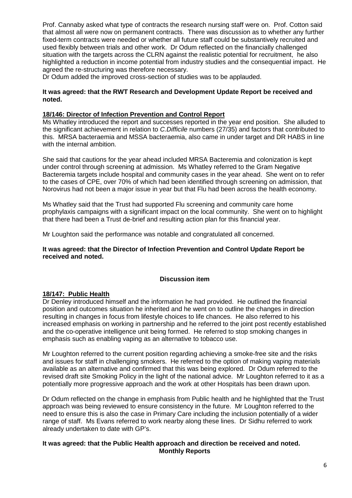Prof. Cannaby asked what type of contracts the research nursing staff were on. Prof. Cotton said that almost all were now on permanent contracts. There was discussion as to whether any further fixed-term contracts were needed or whether all future staff could be substantively recruited and used flexibly between trials and other work. Dr Odum reflected on the financially challenged situation with the targets across the CLRN against the realistic potential for recruitment, he also highlighted a reduction in income potential from industry studies and the consequential impact. He agreed the re-structuring was therefore necessary.

Dr Odum added the improved cross-section of studies was to be applauded.

#### **It was agreed: that the RWT Research and Development Update Report be received and noted.**

## **18/146: Director of Infection Prevention and Control Report**

Ms Whatley introduced the report and successes reported in the year end position. She alluded to the significant achievement in relation to *C.Difficile* numbers (27/35) and factors that contributed to this. MRSA bacteraemia and MSSA bacteraemia, also came in under target and DR HABS in line with the internal ambition.

She said that cautions for the year ahead included MRSA Bacteremia and colonization is kept under control through screening at admission. Ms Whatley referred to the Gram Negative Bacteremia targets include hospital and community cases in the year ahead. She went on to refer to the cases of CPE, over 70% of which had been identified through screening on admission, that Norovirus had not been a major issue in year but that Flu had been across the health economy.

Ms Whatley said that the Trust had supported Flu screening and community care home prophylaxis campaigns with a significant impact on the local community. She went on to highlight that there had been a Trust de-brief and resulting action plan for this financial year.

Mr Loughton said the performance was notable and congratulated all concerned.

**It was agreed: that the Director of Infection Prevention and Control Update Report be received and noted.**

## **Discussion item**

## **18/147: Public Health**

Dr Denley introduced himself and the information he had provided. He outlined the financial position and outcomes situation he inherited and he went on to outline the changes in direction resulting in changes in focus from lifestyle choices to life chances. He also referred to his increased emphasis on working in partnership and he referred to the joint post recently established and the co-operative intelligence unit being formed. He referred to stop smoking changes in emphasis such as enabling vaping as an alternative to tobacco use.

Mr Loughton referred to the current position regarding achieving a smoke-free site and the risks and issues for staff in challenging smokers. He referred to the option of making vaping materials available as an alternative and confirmed that this was being explored. Dr Odum referred to the revised draft site Smoking Policy in the light of the national advice. Mr Loughton referred to it as a potentially more progressive approach and the work at other Hospitals has been drawn upon.

Dr Odum reflected on the change in emphasis from Public health and he highlighted that the Trust approach was being reviewed to ensure consistency in the future. Mr Loughton referred to the need to ensure this is also the case in Primary Care including the inclusion potentially of a wider range of staff. Ms Evans referred to work nearby along these lines. Dr Sidhu referred to work already undertaken to date with GP's.

#### **It was agreed: that the Public Health approach and direction be received and noted. Monthly Reports**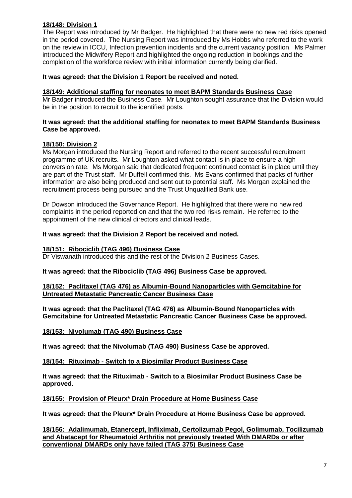# **18/148: Division 1**

The Report was introduced by Mr Badger. He highlighted that there were no new red risks opened in the period covered. The Nursing Report was introduced by Ms Hobbs who referred to the work on the review in ICCU, Infection prevention incidents and the current vacancy position. Ms Palmer introduced the Midwifery Report and highlighted the ongoing reduction in bookings and the completion of the workforce review with initial information currently being clarified.

# **It was agreed: that the Division 1 Report be received and noted.**

# **18/149: Additional staffing for neonates to meet BAPM Standards Business Case**

Mr Badger introduced the Business Case. Mr Loughton sought assurance that the Division would be in the position to recruit to the identified posts.

#### **It was agreed: that the additional staffing for neonates to meet BAPM Standards Business Case be approved.**

## **18/150: Division 2**

Ms Morgan introduced the Nursing Report and referred to the recent successful recruitment programme of UK recruits. Mr Loughton asked what contact is in place to ensure a high conversion rate. Ms Morgan said that dedicated frequent continued contact is in place until they are part of the Trust staff. Mr Duffell confirmed this. Ms Evans confirmed that packs of further information are also being produced and sent out to potential staff. Ms Morgan explained the recruitment process being pursued and the Trust Unqualified Bank use.

Dr Dowson introduced the Governance Report. He highlighted that there were no new red complaints in the period reported on and that the two red risks remain. He referred to the appointment of the new clinical directors and clinical leads.

# **It was agreed: that the Division 2 Report be received and noted.**

## **18/151: Ribociclib (TAG 496) Business Case**

Dr Viswanath introduced this and the rest of the Division 2 Business Cases.

# **It was agreed: that the Ribociclib (TAG 496) Business Case be approved.**

## **18/152: Paclitaxel (TAG 476) as Albumin-Bound Nanoparticles with Gemcitabine for Untreated Metastatic Pancreatic Cancer Business Case**

**It was agreed: that the Paclitaxel (TAG 476) as Albumin-Bound Nanoparticles with Gemcitabine for Untreated Metastatic Pancreatic Cancer Business Case be approved.**

## **18/153: Nivolumab (TAG 490) Business Case**

**It was agreed: that the Nivolumab (TAG 490) Business Case be approved.**

## **18/154: Rituximab - Switch to a Biosimilar Product Business Case**

**It was agreed: that the Rituximab - Switch to a Biosimilar Product Business Case be approved.**

## **18/155: Provision of Pleurx\* Drain Procedure at Home Business Case**

**It was agreed: that the Pleurx\* Drain Procedure at Home Business Case be approved.**

**18/156: Adalimumab, Etanercept, Infliximab, Certolizumab Pegol, Golimumab, Tocilizumab and Abatacept for Rheumatoid Arthritis not previously treated With DMARDs or after conventional DMARDs only have failed (TAG 375) Business Case**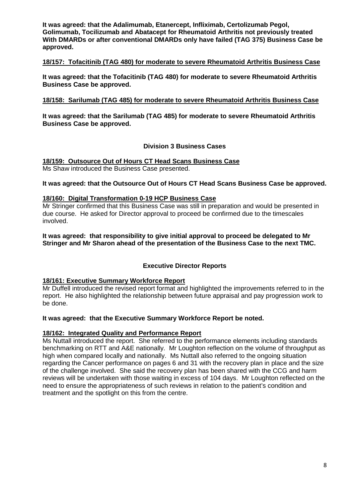**It was agreed: that the Adalimumab, Etanercept, Infliximab, Certolizumab Pegol, Golimumab, Tocilizumab and Abatacept for Rheumatoid Arthritis not previously treated With DMARDs or after conventional DMARDs only have failed (TAG 375) Business Case be approved.**

#### **18/157: Tofacitinib (TAG 480) for moderate to severe Rheumatoid Arthritis Business Case**

**It was agreed: that the Tofacitinib (TAG 480) for moderate to severe Rheumatoid Arthritis Business Case be approved.**

#### **18/158: Sarilumab (TAG 485) for moderate to severe Rheumatoid Arthritis Business Case**

**It was agreed: that the Sarilumab (TAG 485) for moderate to severe Rheumatoid Arthritis Business Case be approved.**

#### **Division 3 Business Cases**

**18/159: Outsource Out of Hours CT Head Scans Business Case** Ms Shaw introduced the Business Case presented.

#### **It was agreed: that the Outsource Out of Hours CT Head Scans Business Case be approved.**

#### **18/160: Digital Transformation 0-19 HCP Business Case**

Mr Stringer confirmed that this Business Case was still in preparation and would be presented in due course. He asked for Director approval to proceed be confirmed due to the timescales involved.

**It was agreed: that responsibility to give initial approval to proceed be delegated to Mr Stringer and Mr Sharon ahead of the presentation of the Business Case to the next TMC.**

## **Executive Director Reports**

#### **18/161: Executive Summary Workforce Report**

Mr Duffell introduced the revised report format and highlighted the improvements referred to in the report. He also highlighted the relationship between future appraisal and pay progression work to be done.

#### **It was agreed: that the Executive Summary Workforce Report be noted.**

#### **18/162: Integrated Quality and Performance Report**

Ms Nuttall introduced the report. She referred to the performance elements including standards benchmarking on RTT and A&E nationally. Mr Loughton reflection on the volume of throughput as high when compared locally and nationally. Ms Nuttall also referred to the ongoing situation regarding the Cancer performance on pages 6 and 31 with the recovery plan in place and the size of the challenge involved. She said the recovery plan has been shared with the CCG and harm reviews will be undertaken with those waiting in excess of 104 days. Mr Loughton reflected on the need to ensure the appropriateness of such reviews in relation to the patient's condition and treatment and the spotlight on this from the centre.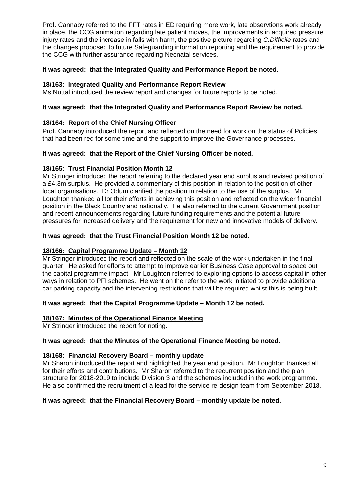Prof. Cannaby referred to the FFT rates in ED requiring more work, late observtions work already in place, the CCG animation regarding late patient moves, the improvements in acquired pressure injury rates and the increase in falls with harm, the positive picture regarding *C.Difficile* rates and the changes proposed to future Safeguarding information reporting and the requirement to provide the CCG with further assurance regarding Neonatal services.

# **It was agreed: that the Integrated Quality and Performance Report be noted.**

# **18/163: Integrated Quality and Performance Report Review**

Ms Nuttal introduced the review report and changes for future reports to be noted.

# **It was agreed: that the Integrated Quality and Performance Report Review be noted.**

# **18/164: Report of the Chief Nursing Officer**

Prof. Cannaby introduced the report and reflected on the need for work on the status of Policies that had been red for some time and the support to improve the Governance processes.

# **It was agreed: that the Report of the Chief Nursing Officer be noted.**

# **18/165: Trust Financial Position Month 12**

Mr Stringer introduced the report referring to the declared year end surplus and revised position of a £4.3m surplus. He provided a commentary of this position in relation to the position of other local organisations. Dr Odum clarified the position in relation to the use of the surplus. Mr Loughton thanked all for their efforts in achieving this position and reflected on the wider financial position in the Black Country and nationally. He also referred to the current Government position and recent announcements regarding future funding requirements and the potential future pressures for increased delivery and the requirement for new and innovative models of delivery.

## **It was agreed: that the Trust Financial Position Month 12 be noted.**

# **18/166: Capital Programme Update – Month 12**

Mr Stringer introduced the report and reflected on the scale of the work undertaken in the final quarter. He asked for efforts to attempt to improve earlier Business Case approval to space out the capital programme impact. Mr Loughton referred to exploring options to access capital in other ways in relation to PFI schemes. He went on the refer to the work initiated to provide additional car parking capacity and the intervening restrictions that will be required whilst this is being built.

## **It was agreed: that the Capital Programme Update – Month 12 be noted.**

## **18/167: Minutes of the Operational Finance Meeting**

Mr Stringer introduced the report for noting.

## **It was agreed: that the Minutes of the Operational Finance Meeting be noted.**

## **18/168: Financial Recovery Board – monthly update**

Mr Sharon introduced the report and highlighted the year end position. Mr Loughton thanked all for their efforts and contributions. Mr Sharon referred to the recurrent position and the plan structure for 2018-2019 to include Division 3 and the schemes included in the work programme. He also confirmed the recruitment of a lead for the service re-design team from September 2018.

## **It was agreed: that the Financial Recovery Board – monthly update be noted.**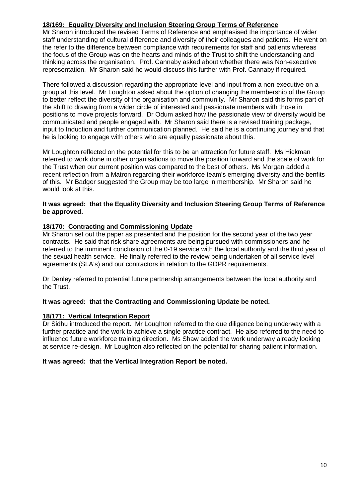# **18/169: Equality Diversity and Inclusion Steering Group Terms of Reference**

Mr Sharon introduced the revised Terms of Reference and emphasised the importance of wider staff understanding of cultural difference and diversity of their colleagues and patients. He went on the refer to the difference between compliance with requirements for staff and patients whereas the focus of the Group was on the hearts and minds of the Trust to shift the understanding and thinking across the organisation. Prof. Cannaby asked about whether there was Non-executive representation. Mr Sharon said he would discuss this further with Prof. Cannaby if required.

There followed a discussion regarding the appropriate level and input from a non-executive on a group at this level. Mr Loughton asked about the option of changing the membership of the Group to better reflect the diversity of the organisation and community. Mr Sharon said this forms part of the shift to drawing from a wider circle of interested and passionate members with those in positions to move projects forward. Dr Odum asked how the passionate view of diversity would be communicated and people engaged with. Mr Sharon said there is a revised training package, input to Induction and further communication planned. He said he is a continuing journey and that he is looking to engage with others who are equally passionate about this.

Mr Loughton reflected on the potential for this to be an attraction for future staff. Ms Hickman referred to work done in other organisations to move the position forward and the scale of work for the Trust when our current position was compared to the best of others. Ms Morgan added a recent reflection from a Matron regarding their workforce team's emerging diversity and the benfits of this. Mr Badger suggested the Group may be too large in membership. Mr Sharon said he would look at this.

#### **It was agreed: that the Equality Diversity and Inclusion Steering Group Terms of Reference be approved.**

# **18/170: Contracting and Commissioning Update**

Mr Sharon set out the paper as presented and the position for the second year of the two year contracts. He said that risk share agreements are being pursued with commissioners and he referred to the imminent conclusion of the 0-19 service with the local authority and the third year of the sexual health service. He finally referred to the review being undertaken of all service level agreements (SLA's) and our contractors in relation to the GDPR requirements.

Dr Denley referred to potential future partnership arrangements between the local authority and the Trust.

# **It was agreed: that the Contracting and Commissioning Update be noted.**

## **18/171: Vertical Integration Report**

Dr Sidhu introduced the report. Mr Loughton referred to the due diligence being underway with a further practice and the work to achieve a single practice contract. He also referred to the need to influence future workforce training direction. Ms Shaw added the work underway already looking at service re-design. Mr Loughton also reflected on the potential for sharing patient information.

## **It was agreed: that the Vertical Integration Report be noted.**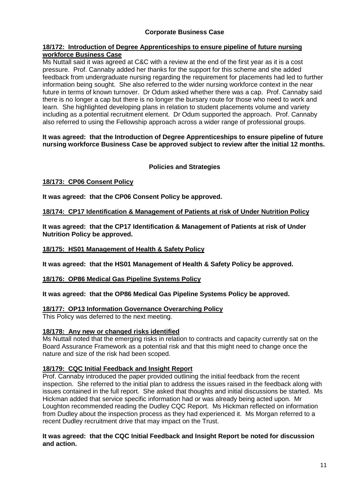# **Corporate Business Case**

#### **18/172: Introduction of Degree Apprenticeships to ensure pipeline of future nursing workforce Business Case**

Ms Nuttall said it was agreed at C&C with a review at the end of the first year as it is a cost pressure. Prof. Cannaby added her thanks for the support for this scheme and she added feedback from undergraduate nursing regarding the requirement for placements had led to further information being sought. She also referred to the wider nursing workforce context in the near future in terms of known turnover. Dr Odum asked whether there was a cap. Prof. Cannaby said there is no longer a cap but there is no longer the bursary route for those who need to work and learn. She highlighted developing plans in relation to student placements volume and variety including as a potential recruitment element. Dr Odum supported the approach. Prof. Cannaby also referred to using the Fellowship approach across a wider range of professional groups.

#### **It was agreed: that the Introduction of Degree Apprenticeships to ensure pipeline of future nursing workforce Business Case be approved subject to review after the initial 12 months.**

# **Policies and Strategies**

## **18/173: CP06 Consent Policy**

**It was agreed: that the CP06 Consent Policy be approved.**

# **18/174: CP17 Identification & Management of Patients at risk of Under Nutrition Policy**

**It was agreed: that the CP17 Identification & Management of Patients at risk of Under Nutrition Policy be approved.**

## **18/175: HS01 Management of Health & Safety Policy**

**It was agreed: that the HS01 Management of Health & Safety Policy be approved.**

## **18/176: OP86 Medical Gas Pipeline Systems Policy**

**It was agreed: that the OP86 Medical Gas Pipeline Systems Policy be approved.**

## **18/177: OP13 Information Governance Overarching Policy**

This Policy was deferred to the next meeting.

## **18/178: Any new or changed risks identified**

Ms Nuttall noted that the emerging risks in relation to contracts and capacity currently sat on the Board Assurance Framework as a potential risk and that this might need to change once the nature and size of the risk had been scoped.

#### **18/179: CQC Initial Feedback and Insight Report**

Prof. Cannaby introduced the paper provided outlining the initial feedback from the recent inspection. She referred to the initial plan to address the issues raised in the feedback along with issues contained in the full report. She asked that thoughts and initial discussions be started. Ms Hickman added that service specific information had or was already being acted upon. Mr Loughton recommended reading the Dudley CQC Report. Ms Hickman reflected on information from Dudley about the inspection process as they had experienced it. Ms Morgan referred to a recent Dudley recruitment drive that may impact on the Trust.

#### **It was agreed: that the CQC Initial Feedback and Insight Report be noted for discussion and action.**